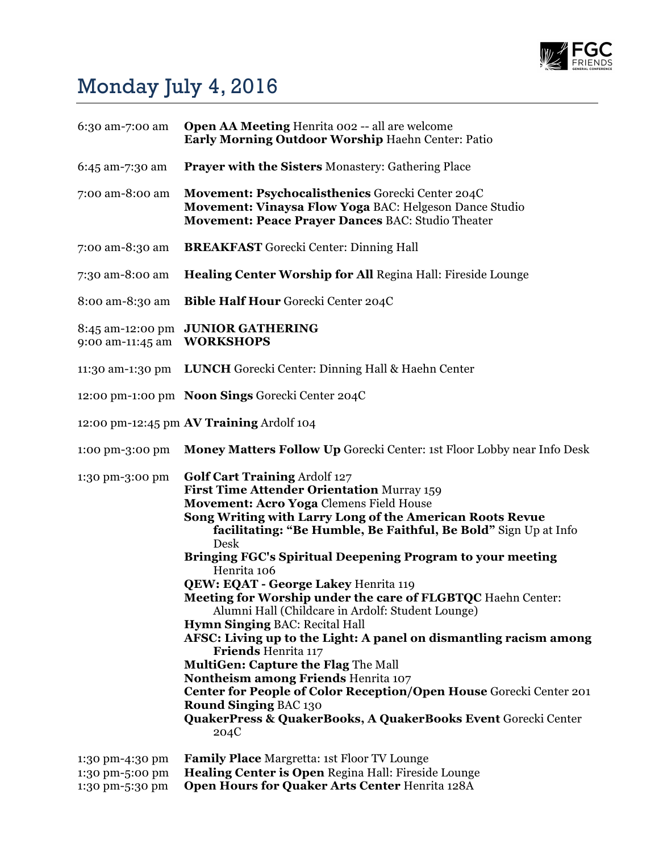

## Monday July 4, 2016

| 6:30 am-7:00 am                                       | <b>Open AA Meeting Henrita 002 -- all are welcome</b><br>Early Morning Outdoor Worship Haehn Center: Patio                                                                                                                                                                                                                                                                                                                                                                                                                                                                                                                                                                                                                                                                                                                                                                                                                                  |
|-------------------------------------------------------|---------------------------------------------------------------------------------------------------------------------------------------------------------------------------------------------------------------------------------------------------------------------------------------------------------------------------------------------------------------------------------------------------------------------------------------------------------------------------------------------------------------------------------------------------------------------------------------------------------------------------------------------------------------------------------------------------------------------------------------------------------------------------------------------------------------------------------------------------------------------------------------------------------------------------------------------|
| 6:45 am-7:30 am                                       | <b>Prayer with the Sisters Monastery: Gathering Place</b>                                                                                                                                                                                                                                                                                                                                                                                                                                                                                                                                                                                                                                                                                                                                                                                                                                                                                   |
| 7:00 am-8:00 am                                       | Movement: Psychocalisthenics Gorecki Center 204C<br>Movement: Vinaysa Flow Yoga BAC: Helgeson Dance Studio<br>Movement: Peace Prayer Dances BAC: Studio Theater                                                                                                                                                                                                                                                                                                                                                                                                                                                                                                                                                                                                                                                                                                                                                                             |
| 7:00 am-8:30 am                                       | <b>BREAKFAST</b> Gorecki Center: Dinning Hall                                                                                                                                                                                                                                                                                                                                                                                                                                                                                                                                                                                                                                                                                                                                                                                                                                                                                               |
| 7:30 am-8:00 am                                       | Healing Center Worship for All Regina Hall: Fireside Lounge                                                                                                                                                                                                                                                                                                                                                                                                                                                                                                                                                                                                                                                                                                                                                                                                                                                                                 |
| 8:00 am-8:30 am                                       | Bible Half Hour Gorecki Center 204C                                                                                                                                                                                                                                                                                                                                                                                                                                                                                                                                                                                                                                                                                                                                                                                                                                                                                                         |
| 9:00 am-11:45 am                                      | 8:45 am-12:00 pm JUNIOR GATHERING<br><b>WORKSHOPS</b>                                                                                                                                                                                                                                                                                                                                                                                                                                                                                                                                                                                                                                                                                                                                                                                                                                                                                       |
|                                                       | 11:30 am-1:30 pm LUNCH Gorecki Center: Dinning Hall & Haehn Center                                                                                                                                                                                                                                                                                                                                                                                                                                                                                                                                                                                                                                                                                                                                                                                                                                                                          |
|                                                       | 12:00 pm-1:00 pm Noon Sings Gorecki Center 204C                                                                                                                                                                                                                                                                                                                                                                                                                                                                                                                                                                                                                                                                                                                                                                                                                                                                                             |
|                                                       | 12:00 pm-12:45 pm AV Training Ardolf 104                                                                                                                                                                                                                                                                                                                                                                                                                                                                                                                                                                                                                                                                                                                                                                                                                                                                                                    |
| 1:00 pm-3:00 pm                                       | <b>Money Matters Follow Up Gorecki Center: 1st Floor Lobby near Info Desk</b>                                                                                                                                                                                                                                                                                                                                                                                                                                                                                                                                                                                                                                                                                                                                                                                                                                                               |
| 1:30 pm-3:00 pm                                       | <b>Golf Cart Training Ardolf 127</b><br>First Time Attender Orientation Murray 159<br>Movement: Acro Yoga Clemens Field House<br>Song Writing with Larry Long of the American Roots Revue<br>facilitating: "Be Humble, Be Faithful, Be Bold" Sign Up at Info<br>Desk<br>Bringing FGC's Spiritual Deepening Program to your meeting<br>Henrita 106<br><b>QEW: EQAT - George Lakey Henrita 119</b><br>Meeting for Worship under the care of FLGBTQC Haehn Center:<br>Alumni Hall (Childcare in Ardolf: Student Lounge)<br><b>Hymn Singing BAC: Recital Hall</b><br>AFSC: Living up to the Light: A panel on dismantling racism among<br><b>Friends Henrita 117</b><br><b>MultiGen: Capture the Flag The Mall</b><br><b>Nontheism among Friends Henrita 107</b><br>Center for People of Color Reception/Open House Gorecki Center 201<br><b>Round Singing BAC 130</b><br>QuakerPress & QuakerBooks, A QuakerBooks Event Gorecki Center<br>204C |
| 1:30 pm-4:30 pm<br>1:30 pm-5:00 pm<br>1:30 pm-5:30 pm | <b>Family Place Margretta: 1st Floor TV Lounge</b><br>Healing Center is Open Regina Hall: Fireside Lounge<br>Open Hours for Quaker Arts Center Henrita 128A                                                                                                                                                                                                                                                                                                                                                                                                                                                                                                                                                                                                                                                                                                                                                                                 |